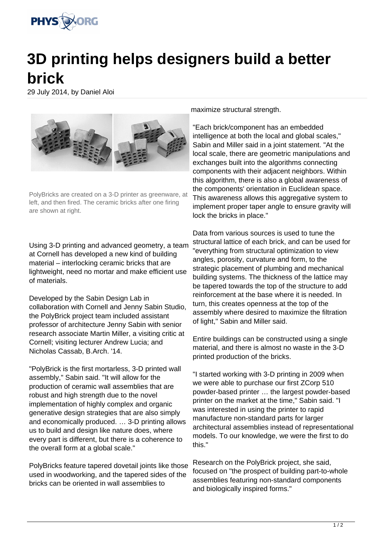

## **3D printing helps designers build a better brick**

29 July 2014, by Daniel Aloi



PolyBricks are created on a 3-D printer as greenware, at left, and then fired. The ceramic bricks after one firing are shown at right.

Using 3-D printing and advanced geometry, a team at Cornell has developed a new kind of building material – interlocking ceramic bricks that are lightweight, need no mortar and make efficient use of materials.

Developed by the Sabin Design Lab in collaboration with Cornell and Jenny Sabin Studio, the PolyBrick project team included assistant professor of architecture Jenny Sabin with senior research associate Martin Miller, a visiting critic at Cornell; visiting lecturer Andrew Lucia; and Nicholas Cassab, B.Arch. '14.

"PolyBrick is the first mortarless, 3-D printed wall assembly," Sabin said. "It will allow for the production of ceramic wall assemblies that are robust and high strength due to the novel implementation of highly complex and organic generative design strategies that are also simply and economically produced. … 3-D printing allows us to build and design like nature does, where every part is different, but there is a coherence to the overall form at a global scale."

PolyBricks feature tapered dovetail joints like those used in woodworking, and the tapered sides of the bricks can be oriented in wall assemblies to

maximize structural strength.

"Each brick/component has an embedded intelligence at both the local and global scales," Sabin and Miller said in a joint statement. "At the local scale, there are geometric manipulations and exchanges built into the algorithms connecting components with their adjacent neighbors. Within this algorithm, there is also a global awareness of the components' orientation in Euclidean space. This awareness allows this aggregative system to implement proper taper angle to ensure gravity will lock the bricks in place."

Data from various sources is used to tune the structural lattice of each brick, and can be used for "everything from structural optimization to view angles, porosity, curvature and form, to the strategic placement of plumbing and mechanical building systems. The thickness of the lattice may be tapered towards the top of the structure to add reinforcement at the base where it is needed. In turn, this creates openness at the top of the assembly where desired to maximize the filtration of light," Sabin and Miller said.

Entire buildings can be constructed using a single material, and there is almost no waste in the 3-D printed production of the bricks.

"I started working with 3-D printing in 2009 when we were able to purchase our first ZCorp 510 powder-based printer … the largest powder-based printer on the market at the time," Sabin said. "I was interested in using the printer to rapid manufacture non-standard parts for larger architectural assemblies instead of representational models. To our knowledge, we were the first to do this."

Research on the PolyBrick project, she said, focused on "the prospect of building part-to-whole assemblies featuring non-standard components and biologically inspired forms."